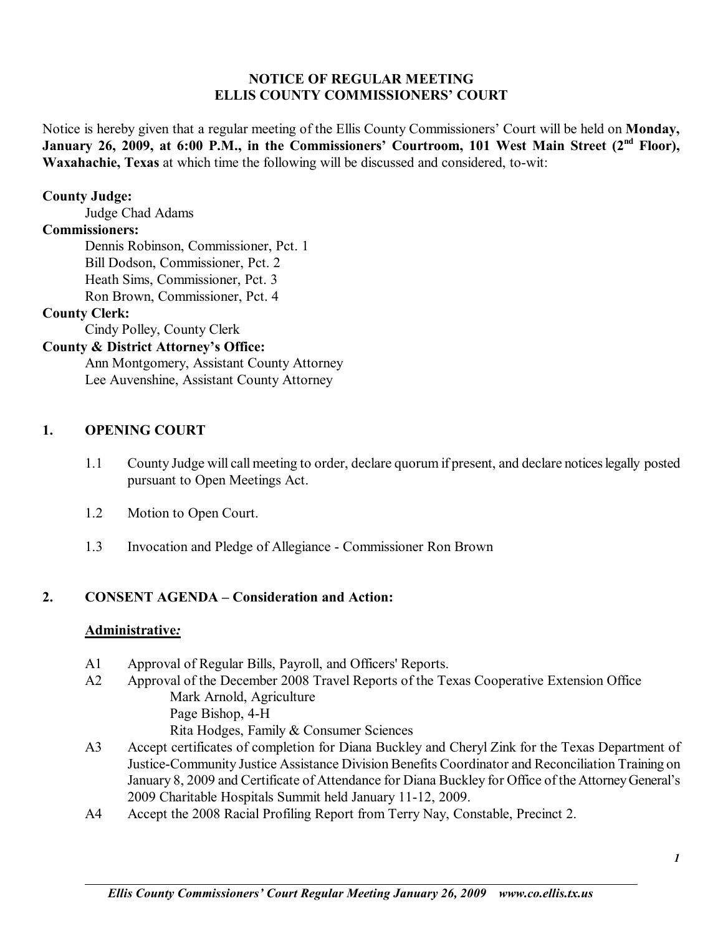#### **NOTICE OF REGULAR MEETING ELLIS COUNTY COMMISSIONERS' COURT**

Notice is hereby given that a regular meeting of the Ellis County Commissioners' Court will be held on **Monday**, January 26, 2009, at 6:00 P.M., in the Commissioners' Courtroom, 101 West Main Street (2<sup>nd</sup> Floor), **Waxahachie, Texas** at which time the following will be discussed and considered, to-wit:

#### **County Judge:**

Judge Chad Adams

#### **Commissioners:**

 Dennis Robinson, Commissioner, Pct. 1 Bill Dodson, Commissioner, Pct. 2 Heath Sims, Commissioner, Pct. 3 Ron Brown, Commissioner, Pct. 4

# **County Clerk:**

Cindy Polley, County Clerk

# **County & District Attorney's Office:**

 Ann Montgomery, Assistant County Attorney Lee Auvenshine, Assistant County Attorney

#### **1. OPENING COURT**

- 1.1 County Judge will call meeting to order, declare quorum if present, and declare notices legally posted pursuant to Open Meetings Act.
- 1.2 Motion to Open Court.
- 1.3 Invocation and Pledge of Allegiance Commissioner Ron Brown

#### 2. **CONSENT AGENDA – Consideration and Action:**

#### **Administrative***:*

- A1 Approval of Regular Bills, Payroll, and Officers' Reports.
- A2 Approval of the December 2008 Travel Reports of the Texas Cooperative Extension Office Mark Arnold, Agriculture Page Bishop, 4-H Rita Hodges, Family & Consumer Sciences
- A3 Accept certificates of completion for Diana Buckley and Cheryl Zink for the Texas Department of Justice-Community Justice Assistance Division Benefits Coordinator and Reconciliation Training on January 8, 2009 and Certificate of Attendance for Diana Buckley for Office of the Attorney General's 2009 Charitable Hospitals Summit held January 11-12, 2009.
- A4 Accept the 2008 Racial Profiling Report from Terry Nay, Constable, Precinct 2.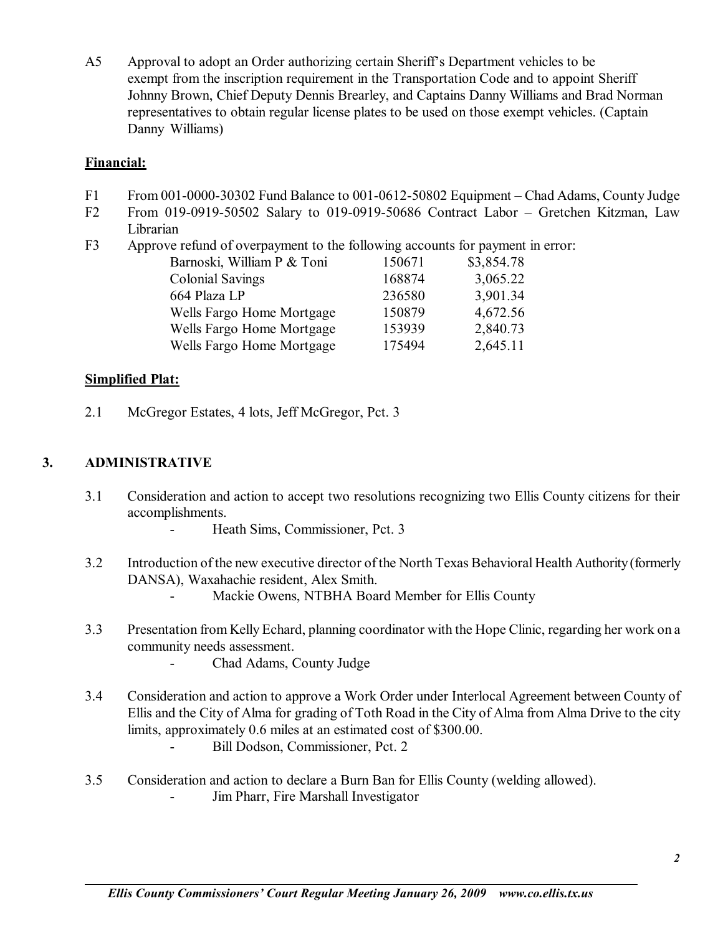A5 Approval to adopt an Order authorizing certain Sheriff's Department vehicles to be exempt from the inscription requirement in the Transportation Code and to appoint Sheriff Johnny Brown, Chief Deputy Dennis Brearley, and Captains Danny Williams and Brad Norman representatives to obtain regular license plates to be used on those exempt vehicles. (Captain Danny Williams)

### **Financial:**

- F1 From 001-0000-30302 Fund Balance to 001-0612-50802 Equipment Chad Adams, County Judge
- F2 From 019-0919-50502 Salary to 019-0919-50686 Contract Labor  $-$  Gretchen Kitzman, Law Librarian
- F3 Approve refund of overpayment to the following accounts for payment in error:

| Barnoski, William P & Toni | 150671 | \$3,854.78 |
|----------------------------|--------|------------|
| <b>Colonial Savings</b>    | 168874 | 3,065.22   |
| 664 Plaza LP               | 236580 | 3,901.34   |
| Wells Fargo Home Mortgage  | 150879 | 4,672.56   |
| Wells Fargo Home Mortgage  | 153939 | 2,840.73   |
| Wells Fargo Home Mortgage  | 175494 | 2,645.11   |

### **Simplified Plat:**

2.1 McGregor Estates, 4 lots, Jeff McGregor, Pct. 3

# **3. ADMINISTRATIVE**

- 3.1 Consideration and action to accept two resolutions recognizing two Ellis County citizens for their accomplishments.
	- Heath Sims, Commissioner, Pct. 3
- 3.2 Introduction of the new executive director of the North Texas Behavioral Health Authority (formerly DANSA), Waxahachie resident, Alex Smith.
	- Mackie Owens, NTBHA Board Member for Ellis County
- 3.3 Presentation from Kelly Echard, planning coordinator with the Hope Clinic, regarding her work on a community needs assessment.
	- Chad Adams, County Judge
- 3.4 Consideration and action to approve a Work Order under Interlocal Agreement between County of Ellis and the City of Alma for grading of Toth Road in the City of Alma from Alma Drive to the city limits, approximately 0.6 miles at an estimated cost of \$300.00.
	- Bill Dodson, Commissioner, Pct. 2
- 3.5 Consideration and action to declare a Burn Ban for Ellis County (welding allowed).
	- Jim Pharr, Fire Marshall Investigator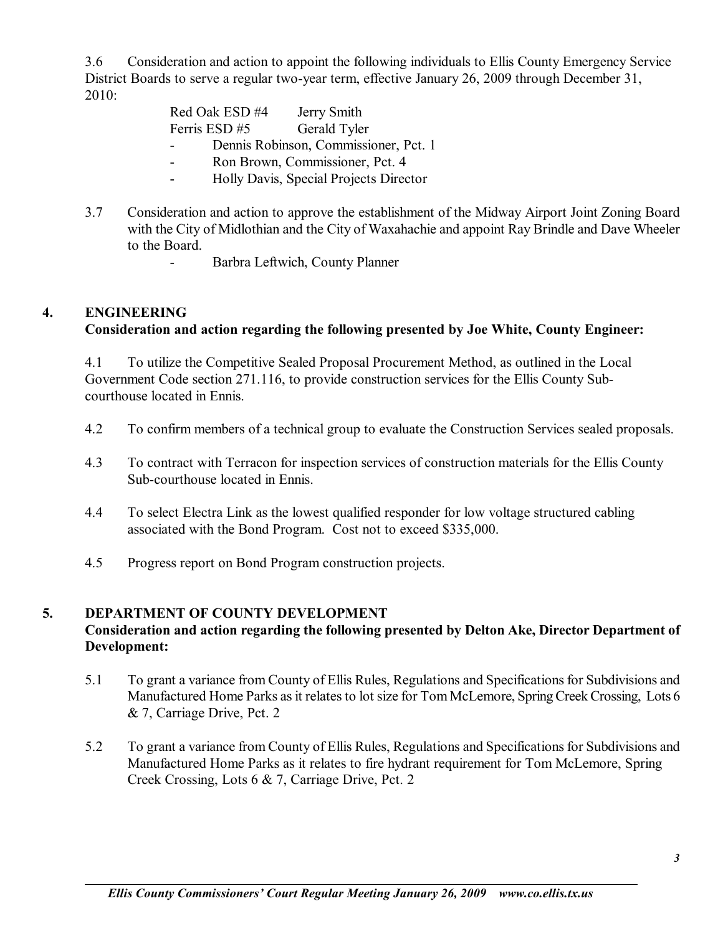3.6 Consideration and action to appoint the following individuals to Ellis County Emergency Service District Boards to serve a regular two-year term, effective January 26, 2009 through December 31, 2010:

| Red Oak ESD #4                        | Jerry Smith                                                                                                              |
|---------------------------------------|--------------------------------------------------------------------------------------------------------------------------|
| Ferris ESD #5 Gerald Tyler            |                                                                                                                          |
| Dennis Robinson, Commissioner, Pct. 1 |                                                                                                                          |
|                                       | $D_{\alpha}$ $D_{\alpha}$ $D_{\alpha}$ $D_{\alpha}$ $D_{\alpha}$ $D_{\alpha}$ $D_{\alpha}$ $D_{\alpha}$ $D_{\alpha}$ $A$ |

- Ron Brown, Commissioner, Pct. 4 - Holly Davis, Special Projects Director
- 3.7 Consideration and action to approve the establishment of the Midway Airport Joint Zoning Board with the City of Midlothian and the City of Waxahachie and appoint Ray Brindle and Dave Wheeler to the Board.
	- Barbra Leftwich, County Planner

# **4. ENGINEERING**

### **Consideration and action regarding the following presented by Joe White, County Engineer:**

 4.1 To utilize the Competitive Sealed Proposal Procurement Method, as outlined in the Local Government Code section 271.116, to provide construction services for the Ellis County Sub courthouse located in Ennis.

- 4.2 To confirm members of a technical group to evaluate the Construction Services sealed proposals.
- 4.3 To contract with Terracon for inspection services of construction materials for the Ellis County Sub-courthouse located in Ennis.
- 4.4 To select Electra Link as the lowest qualified responder for low voltage structured cabling associated with the Bond Program. Cost not to exceed \$335,000.
- 4.5 Progress report on Bond Program construction projects.

#### **5. DEPARTMENT OF COUNTY DEVELOPMENT**

### **Consideration and action regarding the following presented by Delton Ake, Director Department of Development:**

- 5.1 To grant a variance from County of Ellis Rules, Regulations and Specifications for Subdivisions and Manufactured Home Parks as it relates to lot size for Tom McLemore, Spring Creek Crossing, Lots 6 & 7, Carriage Drive, Pct. 2
- 5.2 To grant a variance from County of Ellis Rules, Regulations and Specifications for Subdivisions and Manufactured Home Parks as it relates to fire hydrant requirement for Tom McLemore, Spring Creek Crossing, Lots 6 & 7, Carriage Drive, Pct. 2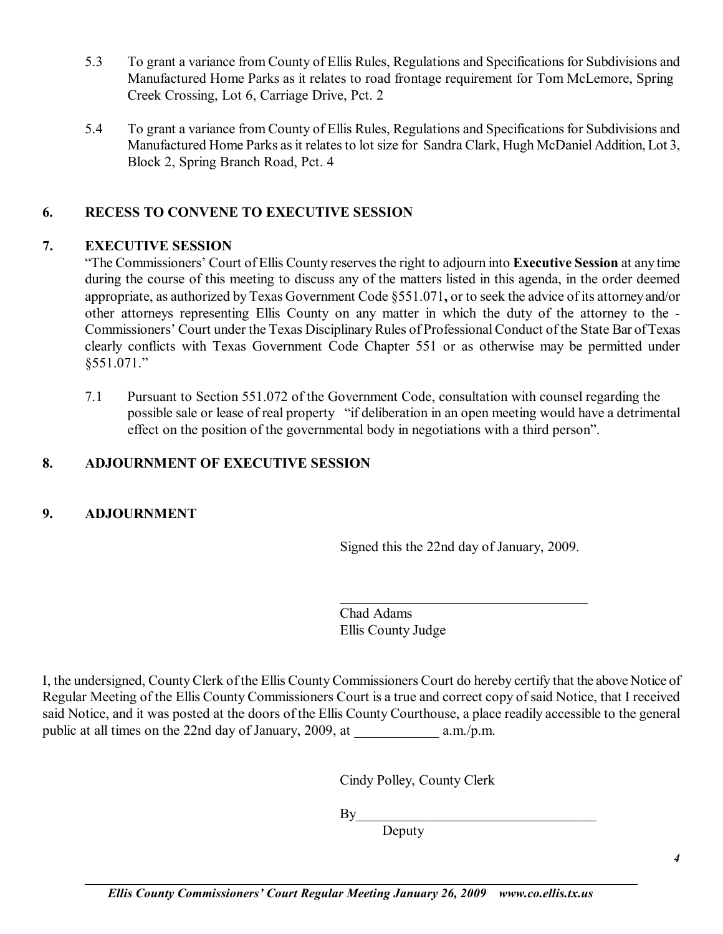- 5.3 To grant a variance from County of Ellis Rules, Regulations and Specifications for Subdivisions and Manufactured Home Parks as it relates to road frontage requirement for Tom McLemore, Spring Creek Crossing, Lot 6, Carriage Drive, Pct. 2
- 5.4 To grant a variance from County of Ellis Rules, Regulations and Specifications for Subdivisions and Manufactured Home Parks as it relates to lot size for Sandra Clark, Hugh McDaniel Addition, Lot 3, Block 2, Spring Branch Road, Pct. 4

# **6. RECESS TO CONVENE TO EXECUTIVE SESSION**

# **7. EXECUTIVE SESSION**

ìThe Commissionersí Court of Ellis County reserves the right to adjourn into **Executive Session** at any time during the course of this meeting to discuss any of the matters listed in this agenda, in the order deemed appropriate, as authorized by Texas Government Code ß551.071**,** or to seek the advice of its attorney and/or other attorneys representing Ellis County on any matter in which the duty of the attorney to the - Commissioners' Court under the Texas Disciplinary Rules of Professional Conduct of the State Bar of Texas clearly conflicts with Texas Government Code Chapter 551 or as otherwise may be permitted under §551.071."

7.1 Pursuant to Section 551.072 of the Government Code, consultation with counsel regarding the possible sale or lease of real property "if deliberation in an open meeting would have a detrimental effect on the position of the governmental body in negotiations with a third person".

# **8. ADJOURNMENT OF EXECUTIVE SESSION**

# **9. ADJOURNMENT**

Signed this the 22nd day of January, 2009.

\_\_\_\_\_\_\_\_\_\_\_\_\_\_\_\_\_\_\_\_\_\_\_\_\_\_\_\_\_\_\_\_\_\_\_

Chad Adams Ellis County Judge

I, the undersigned, County Clerk of the Ellis County Commissioners Court do hereby certify that the above Notice of Regular Meeting of the Ellis County Commissioners Court is a true and correct copy of said Notice, that I received said Notice, and it was posted at the doors of the Ellis County Courthouse, a place readily accessible to the general public at all times on the 22nd day of January, 2009, at a.m./p.m.

Cindy Polley, County Clerk

 $By \_$ 

Deputy